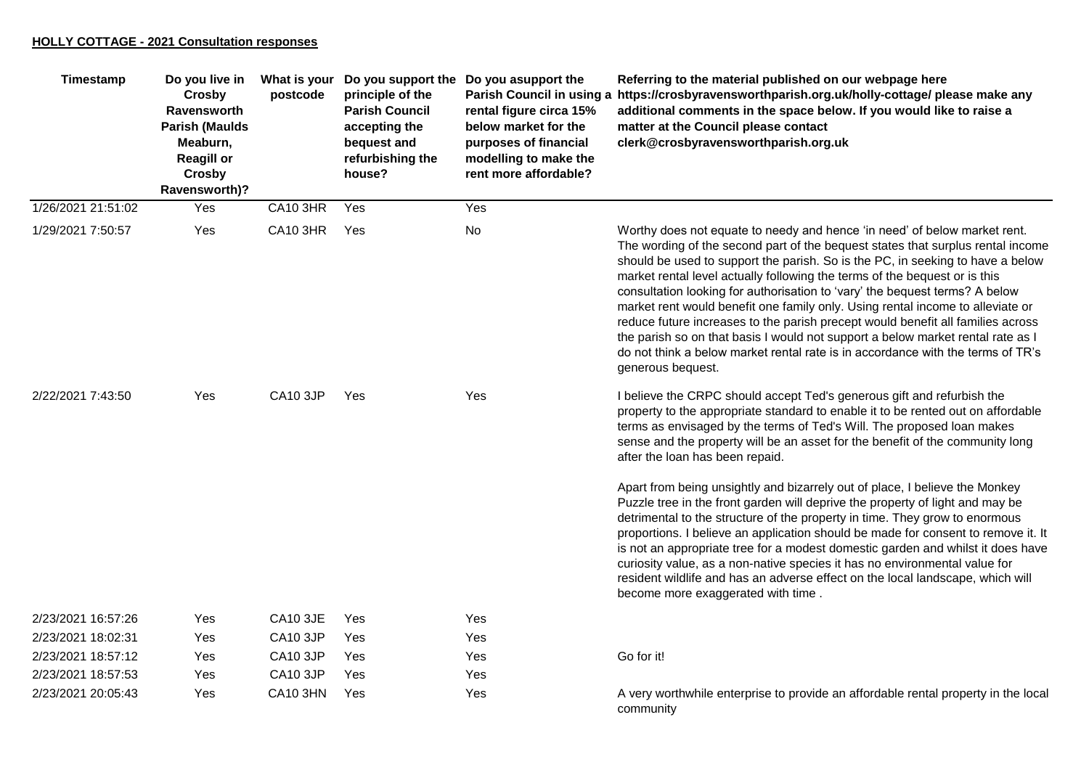## **HOLLY COTTAGE - 2021 Consultation responses**

| Timestamp          | Do you live in<br>Crosby<br><b>Ravensworth</b><br><b>Parish (Maulds</b><br>Meaburn,<br><b>Reagill or</b><br>Crosby<br>Ravensworth)? | What is your<br>postcode | principle of the<br><b>Parish Council</b><br>accepting the<br>bequest and<br>refurbishing the<br>house? | Do you support the Do you asupport the<br>Parish Council in using a<br>rental figure circa 15%<br>below market for the<br>purposes of financial<br>modelling to make the<br>rent more affordable? | Referring to the material published on our webpage here<br>https://crosbyravensworthparish.org.uk/holly-cottage/ please make any<br>additional comments in the space below. If you would like to raise a<br>matter at the Council please contact<br>clerk@crosbyravensworthparish.org.uk                                                                                                                                                                                                                                                                                                                                                                                                                                                                                    |
|--------------------|-------------------------------------------------------------------------------------------------------------------------------------|--------------------------|---------------------------------------------------------------------------------------------------------|---------------------------------------------------------------------------------------------------------------------------------------------------------------------------------------------------|-----------------------------------------------------------------------------------------------------------------------------------------------------------------------------------------------------------------------------------------------------------------------------------------------------------------------------------------------------------------------------------------------------------------------------------------------------------------------------------------------------------------------------------------------------------------------------------------------------------------------------------------------------------------------------------------------------------------------------------------------------------------------------|
| 1/26/2021 21:51:02 | Yes                                                                                                                                 | <b>CA10 3HR</b>          | Yes                                                                                                     | Yes                                                                                                                                                                                               |                                                                                                                                                                                                                                                                                                                                                                                                                                                                                                                                                                                                                                                                                                                                                                             |
| 1/29/2021 7:50:57  | Yes                                                                                                                                 | <b>CA10 3HR</b>          | Yes                                                                                                     | No                                                                                                                                                                                                | Worthy does not equate to needy and hence 'in need' of below market rent.<br>The wording of the second part of the bequest states that surplus rental income<br>should be used to support the parish. So is the PC, in seeking to have a below<br>market rental level actually following the terms of the bequest or is this<br>consultation looking for authorisation to 'vary' the bequest terms? A below<br>market rent would benefit one family only. Using rental income to alleviate or<br>reduce future increases to the parish precept would benefit all families across<br>the parish so on that basis I would not support a below market rental rate as I<br>do not think a below market rental rate is in accordance with the terms of TR's<br>generous bequest. |
| 2/22/2021 7:43:50  | Yes                                                                                                                                 | CA10 3JP                 | Yes                                                                                                     | Yes                                                                                                                                                                                               | I believe the CRPC should accept Ted's generous gift and refurbish the<br>property to the appropriate standard to enable it to be rented out on affordable<br>terms as envisaged by the terms of Ted's Will. The proposed loan makes<br>sense and the property will be an asset for the benefit of the community long<br>after the loan has been repaid.                                                                                                                                                                                                                                                                                                                                                                                                                    |
|                    |                                                                                                                                     |                          |                                                                                                         |                                                                                                                                                                                                   | Apart from being unsightly and bizarrely out of place, I believe the Monkey<br>Puzzle tree in the front garden will deprive the property of light and may be<br>detrimental to the structure of the property in time. They grow to enormous<br>proportions. I believe an application should be made for consent to remove it. It<br>is not an appropriate tree for a modest domestic garden and whilst it does have<br>curiosity value, as a non-native species it has no environmental value for<br>resident wildlife and has an adverse effect on the local landscape, which will<br>become more exaggerated with time.                                                                                                                                                   |
| 2/23/2021 16:57:26 | Yes                                                                                                                                 | <b>CA10 3JE</b>          | Yes                                                                                                     | Yes                                                                                                                                                                                               |                                                                                                                                                                                                                                                                                                                                                                                                                                                                                                                                                                                                                                                                                                                                                                             |
| 2/23/2021 18:02:31 | Yes                                                                                                                                 | CA10 3JP                 | Yes                                                                                                     | Yes                                                                                                                                                                                               |                                                                                                                                                                                                                                                                                                                                                                                                                                                                                                                                                                                                                                                                                                                                                                             |
| 2/23/2021 18:57:12 | Yes                                                                                                                                 | CA10 3JP                 | Yes                                                                                                     | Yes                                                                                                                                                                                               | Go for it!                                                                                                                                                                                                                                                                                                                                                                                                                                                                                                                                                                                                                                                                                                                                                                  |
| 2/23/2021 18:57:53 | Yes                                                                                                                                 | CA10 3JP                 | Yes                                                                                                     | Yes                                                                                                                                                                                               |                                                                                                                                                                                                                                                                                                                                                                                                                                                                                                                                                                                                                                                                                                                                                                             |
| 2/23/2021 20:05:43 | Yes                                                                                                                                 | <b>CA10 3HN</b>          | Yes                                                                                                     | Yes                                                                                                                                                                                               | A very worthwhile enterprise to provide an affordable rental property in the local<br>community                                                                                                                                                                                                                                                                                                                                                                                                                                                                                                                                                                                                                                                                             |